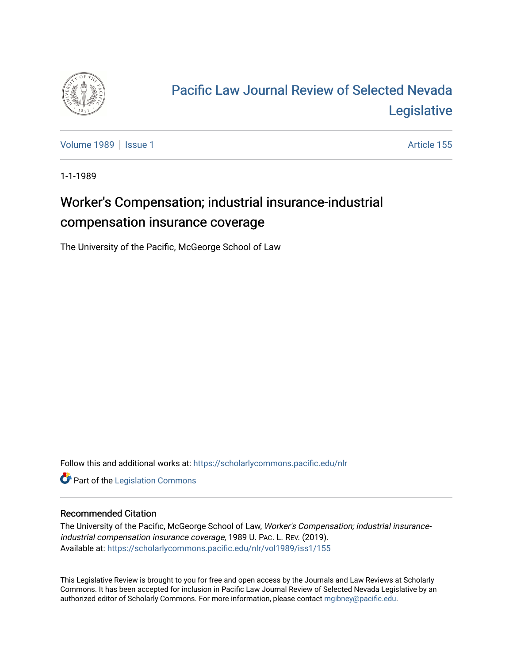

# [Pacific Law Journal Review of Selected Nevada](https://scholarlycommons.pacific.edu/nlr)  [Legislative](https://scholarlycommons.pacific.edu/nlr)

[Volume 1989](https://scholarlycommons.pacific.edu/nlr/vol1989) | [Issue 1](https://scholarlycommons.pacific.edu/nlr/vol1989/iss1) Article 155

1-1-1989

## Worker's Compensation; industrial insurance-industrial compensation insurance coverage

The University of the Pacific, McGeorge School of Law

Follow this and additional works at: [https://scholarlycommons.pacific.edu/nlr](https://scholarlycommons.pacific.edu/nlr?utm_source=scholarlycommons.pacific.edu%2Fnlr%2Fvol1989%2Fiss1%2F155&utm_medium=PDF&utm_campaign=PDFCoverPages) 

**Part of the [Legislation Commons](http://network.bepress.com/hgg/discipline/859?utm_source=scholarlycommons.pacific.edu%2Fnlr%2Fvol1989%2Fiss1%2F155&utm_medium=PDF&utm_campaign=PDFCoverPages)** 

#### Recommended Citation

The University of the Pacific, McGeorge School of Law, Worker's Compensation; industrial insuranceindustrial compensation insurance coverage, 1989 U. PAC. L. REV. (2019). Available at: [https://scholarlycommons.pacific.edu/nlr/vol1989/iss1/155](https://scholarlycommons.pacific.edu/nlr/vol1989/iss1/155?utm_source=scholarlycommons.pacific.edu%2Fnlr%2Fvol1989%2Fiss1%2F155&utm_medium=PDF&utm_campaign=PDFCoverPages) 

This Legislative Review is brought to you for free and open access by the Journals and Law Reviews at Scholarly Commons. It has been accepted for inclusion in Pacific Law Journal Review of Selected Nevada Legislative by an authorized editor of Scholarly Commons. For more information, please contact [mgibney@pacific.edu](mailto:mgibney@pacific.edu).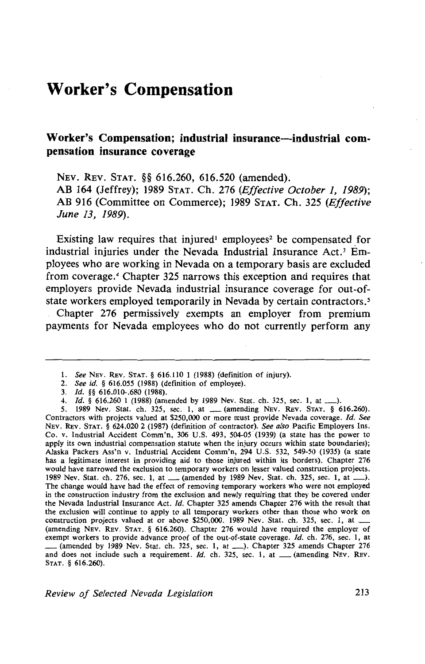### **Worker's Compensation**

#### Worker's Compensation; industrial insurance-industrial com**pensation insurance coverage**

NEv. REv. STAT. §§ 616.260, 616.520 (amended). AB 164 (Jeffrey); 1989 STAT. Ch. 276 *(Effective October 1, 1989);*  AB 916 (Committee on Commerce); 1989 STAT. Ch. 325 *(Effective June 13, 1989).* 

Existing law requires that injured<sup>1</sup> employees<sup>2</sup> be compensated for industrial injuries under the Nevada Industrial Insurance Act.<sup>3</sup> Employees who are working in Nevada on a temporary basis are excluded from coverage. 4 Chapter 325 narrows this exception and requires that employers provide Nevada industrial insurance coverage for out-ofstate workers employed temporarily in Nevada by certain contractors.<sup>5</sup>

Chapter 276 permissively exempts an employer from premium payments for Nevada employees who do not currently perform any

l. *See* NEv. REv. STAT. § 616.110 1 (1988) (definition of injury).

<sup>2.</sup> *See id.* § 616.055 (1988) (definition of employee).

<sup>3.</sup> *Id.* §§ 616.010-.680 (1988).

<sup>4.</sup> *Id.* § 616.260 1 (1988) (amended by 1989 Nev. Stat. ch. 325, sec. 1, at\_).

<sup>5. 1989</sup> Nev. Stat. ch. 325, sec. 1, at \_(amending NEv. REv. STAT. § 616.260). Contractors with projects valued at \$250,000 or more must provide Nevada coverage. *Id. See*  NEv. REv. STAT. § 624.020 2 (1987) (definition of contractor). *See also* Pacific Employers Ins. Co. v. Industrial Accident Comm'n, 306 U.S. 493, 504-05 (1939) (a state has the power to apply its own industrial compensation statute when the injury occurs within state boundaries); Alaska Packers Ass'n v. Industrial Accident Comm'n, 294 U.S. 532, 549-50 (1935) (a state has a legitimate interest in providing aid to those injured within its borders). Chapter 276 would have narrowed the exclusion to temporary workers on lesser valued construction projects. 1989 Nev. Stat. ch. 276, sec. 1, at \_\_ (amended by 1989 Nev. Stat. ch. 325, sec. 1, at \_\_). The change would have had the effect of removing temporary workers who were not employed in the construction industry from the exclusion and newly requiring that they be covered under the Nevada Industrial Insurance Act. */d.* Chapter 325 amends Chapter 276 with the result that the exclusion will continue to apply to all temporary workers other than those who work on construction projects valued at or above  $$250,000$ . 1989 Nev. Stat. ch. 325, sec. 1, at  $-$ (amending NEv. REv. STAT. § 616.260). Chapter 276 would have required the employer of exempt workers to provide advance proof of the out-of-state coverage. Id. ch. 276, sec. 1, at exempt workers to provide advance proof of the out-of-state coverage. *Tal.* ch. 276, sec. 1, at  $\ldots$  (amended by 1989 Nev. Stat. ch. 325, sec. 1, at  $\ldots$ ). Chapter 325 amends Chapter 276 and does not include such a requirement.  $Id$ . ch. 325, sec. 1, at  $\_\_\_\$  (amending NEV. REV. STAT. § 616.260).